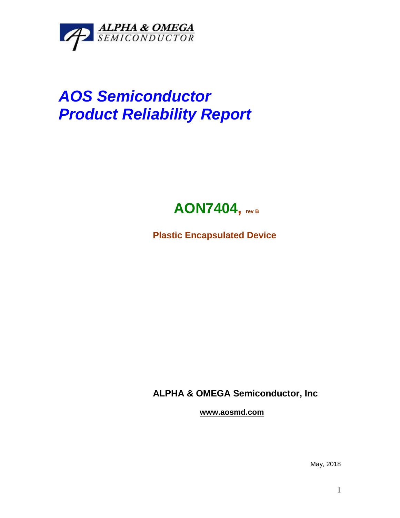

## *AOS Semiconductor Product Reliability Report*



**Plastic Encapsulated Device**

**ALPHA & OMEGA Semiconductor, Inc**

**www.aosmd.com**

May, 2018